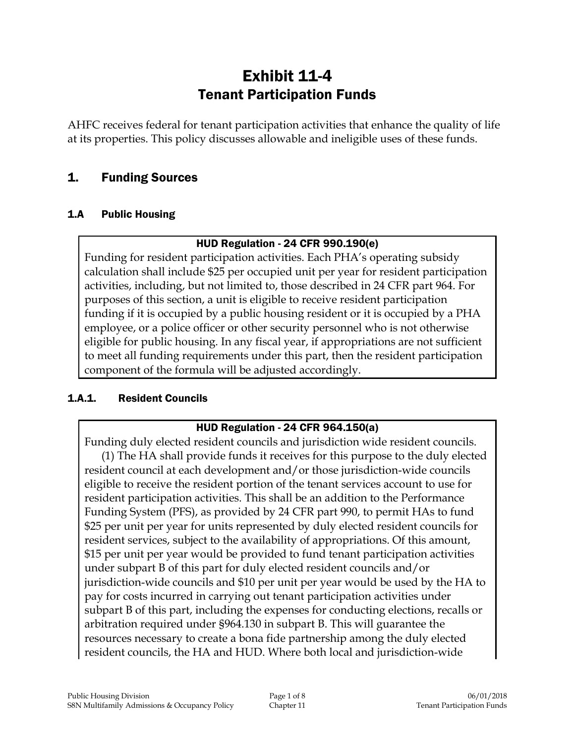# Exhibit 11-4 Tenant Participation Funds

AHFC receives federal for tenant participation activities that enhance the quality of life at its properties. This policy discusses allowable and ineligible uses of these funds.

# 1. Funding Sources

#### 1.A Public Housing

#### HUD Regulation - 24 CFR 990.190(e)

Funding for resident participation activities. Each PHA's operating subsidy calculation shall include \$25 per occupied unit per year for resident participation activities, including, but not limited to, those described in 24 CFR part 964. For purposes of this section, a unit is eligible to receive resident participation funding if it is occupied by a public housing resident or it is occupied by a PHA employee, or a police officer or other security personnel who is not otherwise eligible for public housing. In any fiscal year, if appropriations are not sufficient to meet all funding requirements under this part, then the resident participation component of the formula will be adjusted accordingly.

#### 1.A.1. Resident Councils

#### HUD Regulation - 24 CFR 964.150(a)

Funding duly elected resident councils and jurisdiction wide resident councils. (1) The HA shall provide funds it receives for this purpose to the duly elected resident council at each development and/or those jurisdiction-wide councils eligible to receive the resident portion of the tenant services account to use for resident participation activities. This shall be an addition to the Performance Funding System (PFS), as provided by 24 CFR part 990, to permit HAs to fund \$25 per unit per year for units represented by duly elected resident councils for resident services, subject to the availability of appropriations. Of this amount, \$15 per unit per year would be provided to fund tenant participation activities under subpart B of this part for duly elected resident councils and/or jurisdiction-wide councils and \$10 per unit per year would be used by the HA to pay for costs incurred in carrying out tenant participation activities under subpart B of this part, including the expenses for conducting elections, recalls or arbitration required under §964.130 in subpart B. This will guarantee the resources necessary to create a bona fide partnership among the duly elected resident councils, the HA and HUD. Where both local and jurisdiction-wide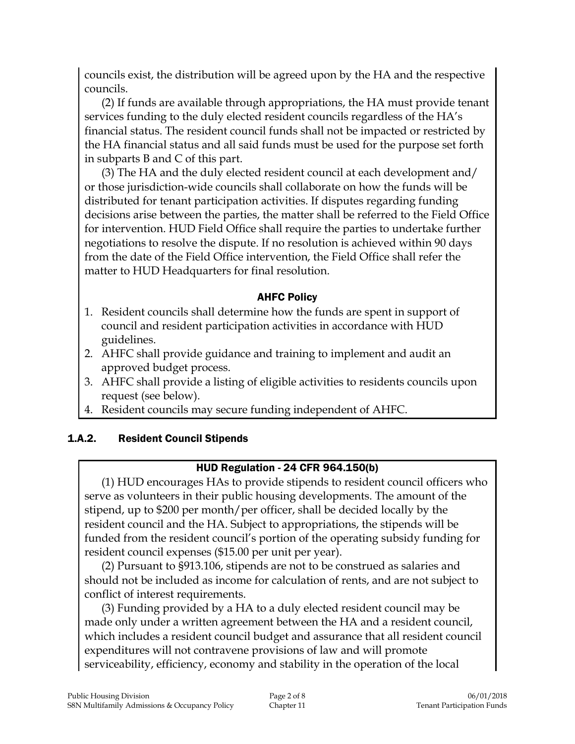councils exist, the distribution will be agreed upon by the HA and the respective councils.

(2) If funds are available through appropriations, the HA must provide tenant services funding to the duly elected resident councils regardless of the HA's financial status. The resident council funds shall not be impacted or restricted by the HA financial status and all said funds must be used for the purpose set forth in subparts B and C of this part.

(3) The HA and the duly elected resident council at each development and/ or those jurisdiction-wide councils shall collaborate on how the funds will be distributed for tenant participation activities. If disputes regarding funding decisions arise between the parties, the matter shall be referred to the Field Office for intervention. HUD Field Office shall require the parties to undertake further negotiations to resolve the dispute. If no resolution is achieved within 90 days from the date of the Field Office intervention, the Field Office shall refer the matter to HUD Headquarters for final resolution.

### AHFC Policy

- 1. Resident councils shall determine how the funds are spent in support of council and resident participation activities in accordance with HUD guidelines.
- 2. AHFC shall provide guidance and training to implement and audit an approved budget process.
- 3. AHFC shall provide a listing of eligible activities to residents councils upon request (see below).
- 4. Resident councils may secure funding independent of AHFC.

### 1.A.2. Resident Council Stipends

### HUD Regulation - 24 CFR 964.150(b)

(1) HUD encourages HAs to provide stipends to resident council officers who serve as volunteers in their public housing developments. The amount of the stipend, up to \$200 per month/per officer, shall be decided locally by the resident council and the HA. Subject to appropriations, the stipends will be funded from the resident council's portion of the operating subsidy funding for resident council expenses (\$15.00 per unit per year).

(2) Pursuant to §913.106, stipends are not to be construed as salaries and should not be included as income for calculation of rents, and are not subject to conflict of interest requirements.

(3) Funding provided by a HA to a duly elected resident council may be made only under a written agreement between the HA and a resident council, which includes a resident council budget and assurance that all resident council expenditures will not contravene provisions of law and will promote serviceability, efficiency, economy and stability in the operation of the local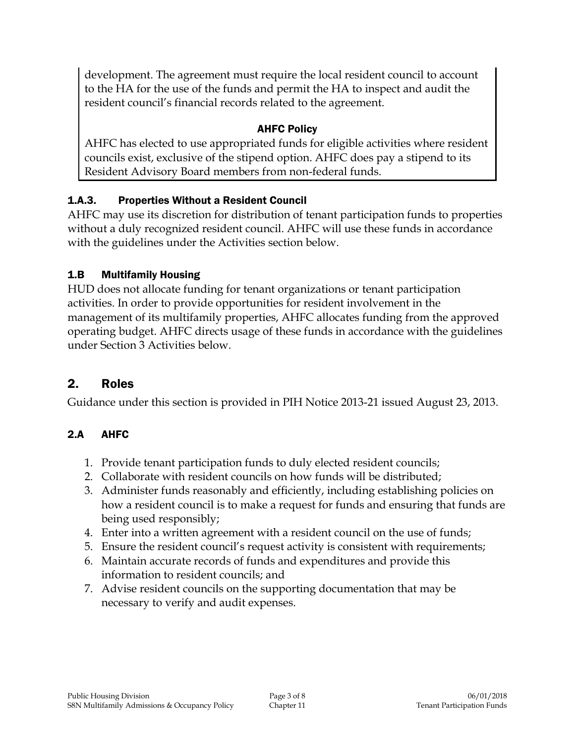development. The agreement must require the local resident council to account to the HA for the use of the funds and permit the HA to inspect and audit the resident council's financial records related to the agreement.

### AHFC Policy

AHFC has elected to use appropriated funds for eligible activities where resident councils exist, exclusive of the stipend option. AHFC does pay a stipend to its Resident Advisory Board members from non-federal funds.

### 1.A.3. Properties Without a Resident Council

AHFC may use its discretion for distribution of tenant participation funds to properties without a duly recognized resident council. AHFC will use these funds in accordance with the guidelines under the Activities section below.

### 1.B Multifamily Housing

HUD does not allocate funding for tenant organizations or tenant participation activities. In order to provide opportunities for resident involvement in the management of its multifamily properties, AHFC allocates funding from the approved operating budget. AHFC directs usage of these funds in accordance with the guidelines under Section 3 Activities below.

# 2. Roles

Guidance under this section is provided in PIH Notice 2013-21 issued August 23, 2013.

# 2.A AHFC

- 1. Provide tenant participation funds to duly elected resident councils;
- 2. Collaborate with resident councils on how funds will be distributed;
- 3. Administer funds reasonably and efficiently, including establishing policies on how a resident council is to make a request for funds and ensuring that funds are being used responsibly;
- 4. Enter into a written agreement with a resident council on the use of funds;
- 5. Ensure the resident council's request activity is consistent with requirements;
- 6. Maintain accurate records of funds and expenditures and provide this information to resident councils; and
- 7. Advise resident councils on the supporting documentation that may be necessary to verify and audit expenses.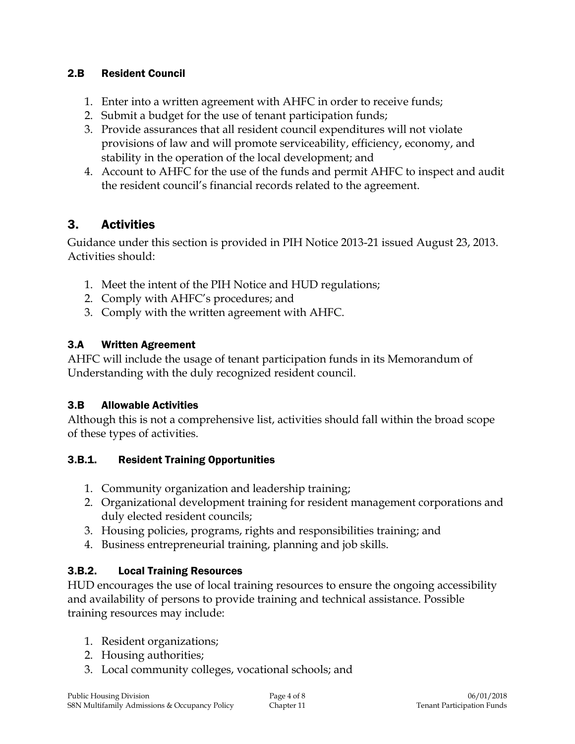#### 2.B Resident Council

- 1. Enter into a written agreement with AHFC in order to receive funds;
- 2. Submit a budget for the use of tenant participation funds;
- 3. Provide assurances that all resident council expenditures will not violate provisions of law and will promote serviceability, efficiency, economy, and stability in the operation of the local development; and
- 4. Account to AHFC for the use of the funds and permit AHFC to inspect and audit the resident council's financial records related to the agreement.

# 3. Activities

Guidance under this section is provided in PIH Notice 2013-21 issued August 23, 2013. Activities should:

- 1. Meet the intent of the PIH Notice and HUD regulations;
- 2. Comply with AHFC's procedures; and
- 3. Comply with the written agreement with AHFC.

### 3.A Written Agreement

AHFC will include the usage of tenant participation funds in its Memorandum of Understanding with the duly recognized resident council.

### 3.B Allowable Activities

Although this is not a comprehensive list, activities should fall within the broad scope of these types of activities.

### 3.B.1. Resident Training Opportunities

- 1. Community organization and leadership training;
- 2. Organizational development training for resident management corporations and duly elected resident councils;
- 3. Housing policies, programs, rights and responsibilities training; and
- 4. Business entrepreneurial training, planning and job skills.

### 3.B.2. Local Training Resources

HUD encourages the use of local training resources to ensure the ongoing accessibility and availability of persons to provide training and technical assistance. Possible training resources may include:

- 1. Resident organizations;
- 2. Housing authorities;
- 3. Local community colleges, vocational schools; and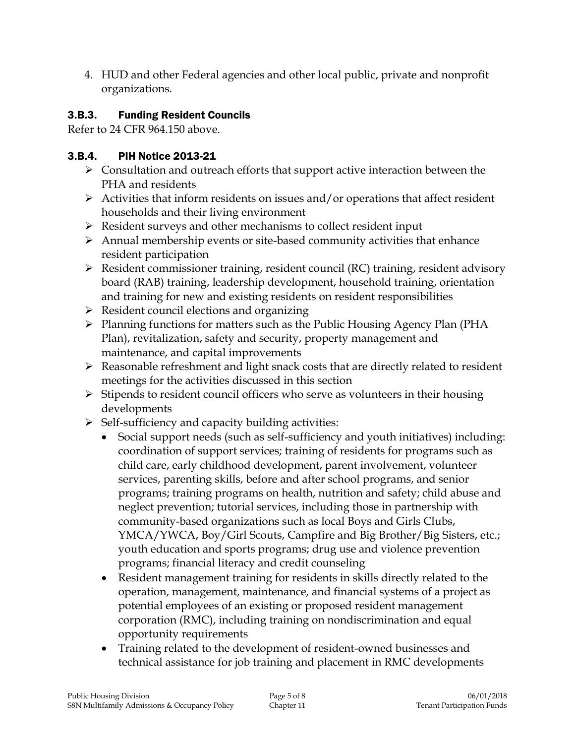4. HUD and other Federal agencies and other local public, private and nonprofit organizations.

### 3.B.3. Funding Resident Councils

Refer to 24 CFR 964.150 above.

# 3.B.4. PIH Notice 2013-21

- $\triangleright$  Consultation and outreach efforts that support active interaction between the PHA and residents
- $\triangleright$  Activities that inform residents on issues and/or operations that affect resident households and their living environment
- $\triangleright$  Resident surveys and other mechanisms to collect resident input
- $\triangleright$  Annual membership events or site-based community activities that enhance resident participation
- Resident commissioner training, resident council (RC) training, resident advisory board (RAB) training, leadership development, household training, orientation and training for new and existing residents on resident responsibilities
- $\triangleright$  Resident council elections and organizing
- Planning functions for matters such as the Public Housing Agency Plan (PHA Plan), revitalization, safety and security, property management and maintenance, and capital improvements
- Reasonable refreshment and light snack costs that are directly related to resident meetings for the activities discussed in this section
- $\triangleright$  Stipends to resident council officers who serve as volunteers in their housing developments
- $\triangleright$  Self-sufficiency and capacity building activities:
	- Social support needs (such as self-sufficiency and youth initiatives) including: coordination of support services; training of residents for programs such as child care, early childhood development, parent involvement, volunteer services, parenting skills, before and after school programs, and senior programs; training programs on health, nutrition and safety; child abuse and neglect prevention; tutorial services, including those in partnership with community-based organizations such as local Boys and Girls Clubs, YMCA/YWCA, Boy/Girl Scouts, Campfire and Big Brother/Big Sisters, etc.; youth education and sports programs; drug use and violence prevention programs; financial literacy and credit counseling
	- Resident management training for residents in skills directly related to the operation, management, maintenance, and financial systems of a project as potential employees of an existing or proposed resident management corporation (RMC), including training on nondiscrimination and equal opportunity requirements
	- Training related to the development of resident-owned businesses and technical assistance for job training and placement in RMC developments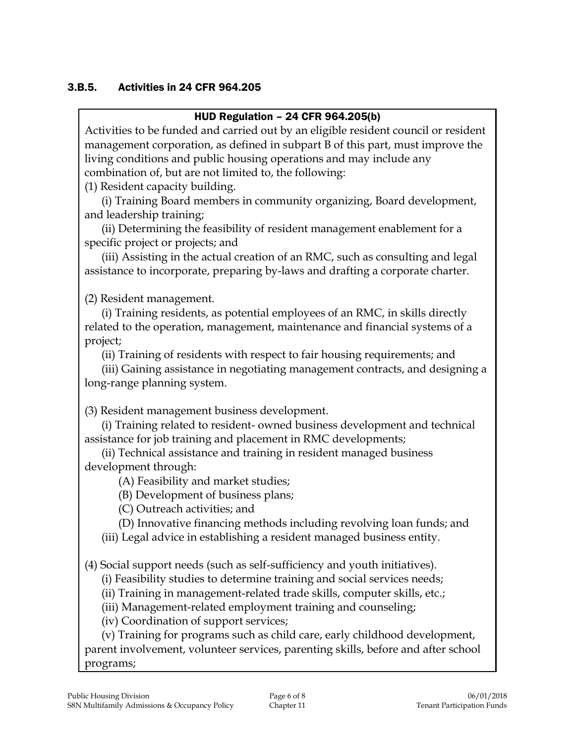#### 3.B.5. Activities in 24 CFR 964.205

#### HUD Regulation – 24 CFR 964.205(b)

Activities to be funded and carried out by an eligible resident council or resident management corporation, as defined in subpart B of this part, must improve the living conditions and public housing operations and may include any combination of, but are not limited to, the following:

(1) Resident capacity building.

(i) Training Board members in community organizing, Board development, and leadership training;

(ii) Determining the feasibility of resident management enablement for a specific project or projects; and

(iii) Assisting in the actual creation of an RMC, such as consulting and legal assistance to incorporate, preparing by-laws and drafting a corporate charter.

(2) Resident management.

(i) Training residents, as potential employees of an RMC, in skills directly related to the operation, management, maintenance and financial systems of a project;

(ii) Training of residents with respect to fair housing requirements; and

(iii) Gaining assistance in negotiating management contracts, and designing a long-range planning system.

(3) Resident management business development.

(i) Training related to resident- owned business development and technical assistance for job training and placement in RMC developments;

(ii) Technical assistance and training in resident managed business development through:

(A) Feasibility and market studies;

(B) Development of business plans;

(C) Outreach activities; and

(D) Innovative financing methods including revolving loan funds; and

(iii) Legal advice in establishing a resident managed business entity.

(4) Social support needs (such as self-sufficiency and youth initiatives).

(i) Feasibility studies to determine training and social services needs;

(ii) Training in management-related trade skills, computer skills, etc.;

(iii) Management-related employment training and counseling;

(iv) Coordination of support services;

(v) Training for programs such as child care, early childhood development, parent involvement, volunteer services, parenting skills, before and after school programs;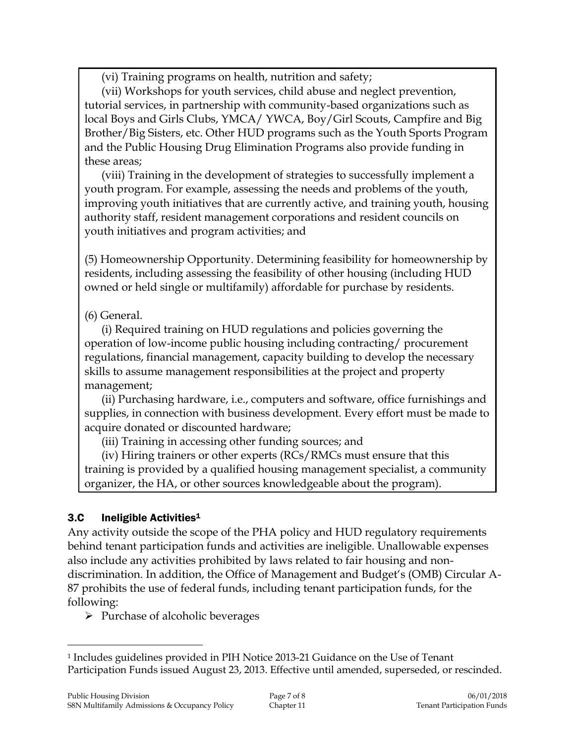(vi) Training programs on health, nutrition and safety;

(vii) Workshops for youth services, child abuse and neglect prevention, tutorial services, in partnership with community-based organizations such as local Boys and Girls Clubs, YMCA/ YWCA, Boy/Girl Scouts, Campfire and Big Brother/Big Sisters, etc. Other HUD programs such as the Youth Sports Program and the Public Housing Drug Elimination Programs also provide funding in these areas;

(viii) Training in the development of strategies to successfully implement a youth program. For example, assessing the needs and problems of the youth, improving youth initiatives that are currently active, and training youth, housing authority staff, resident management corporations and resident councils on youth initiatives and program activities; and

(5) Homeownership Opportunity. Determining feasibility for homeownership by residents, including assessing the feasibility of other housing (including HUD owned or held single or multifamily) affordable for purchase by residents.

### (6) General.

(i) Required training on HUD regulations and policies governing the operation of low-income public housing including contracting/ procurement regulations, financial management, capacity building to develop the necessary skills to assume management responsibilities at the project and property management;

(ii) Purchasing hardware, i.e., computers and software, office furnishings and supplies, in connection with business development. Every effort must be made to acquire donated or discounted hardware;

(iii) Training in accessing other funding sources; and

(iv) Hiring trainers or other experts (RCs/RMCs must ensure that this training is provided by a qualified housing management specialist, a community organizer, the HA, or other sources knowledgeable about the program).

# 3.C Ineligible Activities<sup>1</sup>

 $\overline{a}$ 

Any activity outside the scope of the PHA policy and HUD regulatory requirements behind tenant participation funds and activities are ineligible. Unallowable expenses also include any activities prohibited by laws related to fair housing and nondiscrimination. In addition, the Office of Management and Budget's (OMB) Circular A-87 prohibits the use of federal funds, including tenant participation funds, for the following:

 $\triangleright$  Purchase of alcoholic beverages

<sup>1</sup> Includes guidelines provided in PIH Notice 2013-21 Guidance on the Use of Tenant Participation Funds issued August 23, 2013. Effective until amended, superseded, or rescinded.